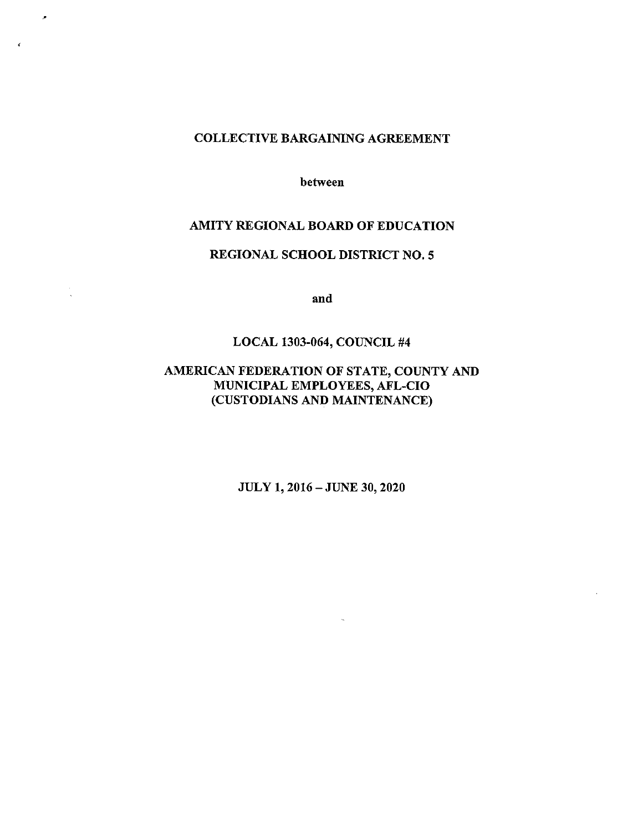#### COLLECTIVE BARGAINING AGREEMENT

 $\tilde{\boldsymbol{\beta}}$ 

between

#### AMITY REGIONAL BOARD OF EDUCATION

#### REGIONAL SCHOOL DISTRICT NO.5

and

#### LOCAL 1303-064, COUNCIL #4

# AMERICAN FEDERATION OF STATE, COUNTY AND MUNICIPAL EMPLOYEES, AFL-CIO (CUSTODIANS AND MAINTENANCE)

JULY 1, 2016 - JUNE 30, 2020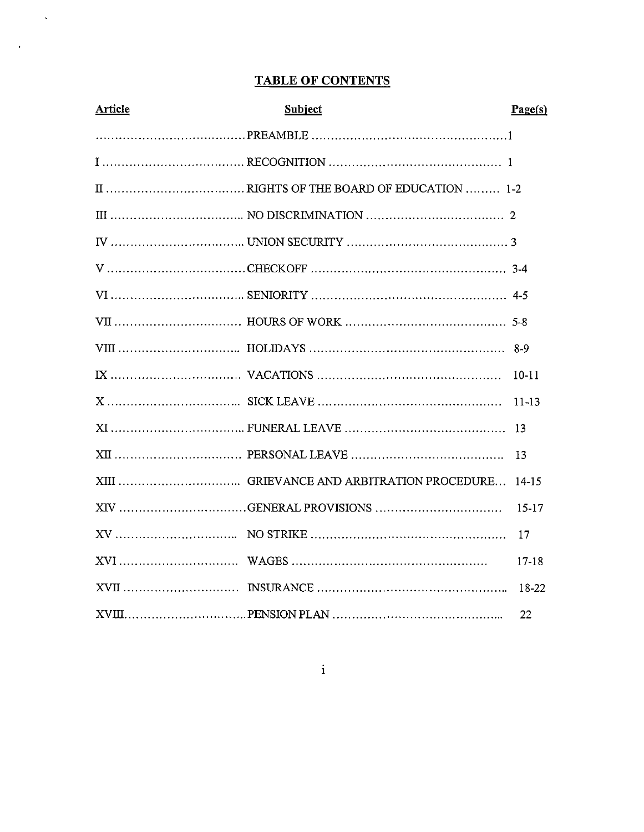# **TABLE OF CONTENTS**

 $\sim$   $\sim$ 

 $\sim 10$ 

| Article | <b>Subject</b> | Page(s)   |
|---------|----------------|-----------|
|         |                |           |
|         |                |           |
|         |                |           |
|         |                |           |
|         |                |           |
|         |                |           |
|         |                |           |
|         |                |           |
|         |                |           |
|         |                | $10 - 11$ |
|         |                | $11 - 13$ |
|         |                | 13        |
|         |                | 13        |
|         |                |           |
|         |                | 15-17     |
|         |                | 17        |
|         |                | 17-18     |
|         |                | 18-22     |
|         |                | -22       |

 $\mathbf{i}$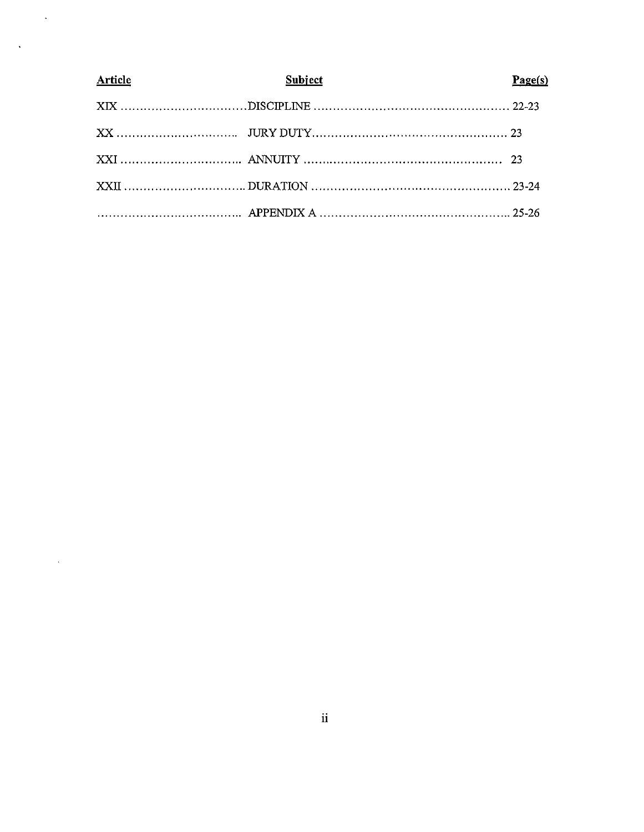| <b>Article</b> | <b>Subject</b> | Page(s) |
|----------------|----------------|---------|
|                |                |         |
|                |                |         |
|                |                |         |
|                |                |         |
|                |                |         |

 $\ddot{\phantom{0}}$ 

 $\hat{\mathcal{A}}$ 

 $\ddot{\phantom{1}}$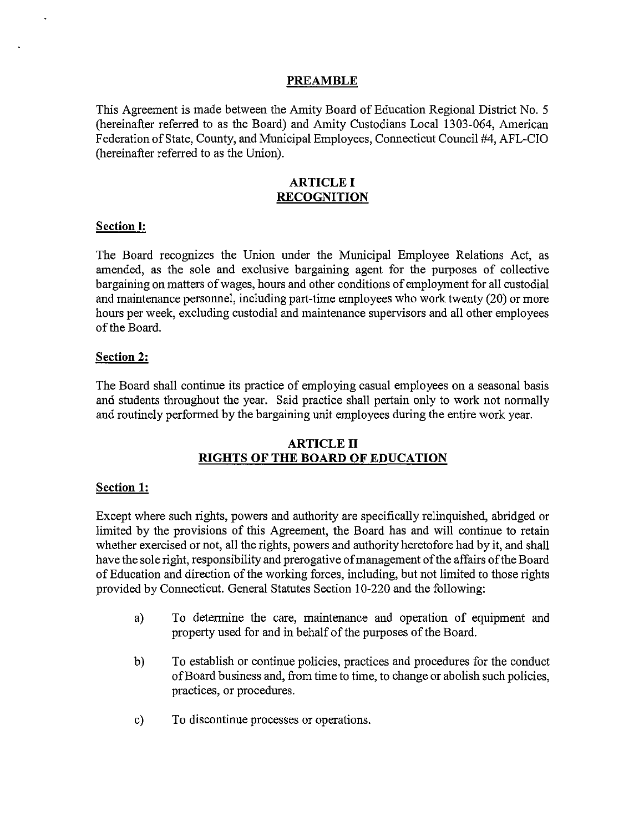#### **PREAMBLE**

This Agreement is made between the Amity Board of Education Regional District No.5 (hereinafter referred to as the Board) and Amity Custodians Local 1303-064, American Federation of State, County, and Municipal Employees, Connecticut Council #4, AFL-CIO (hereinafter referred to as the Union).

#### ARTICLE I **RECOGNITION**

#### **Section I:**

The Board recognizes the Union under the Municipal Employee Relations Act, as amended, as the sole and exclusive bargaining agent for the purposes of collective bargaining on matters of wages, hours and other conditions of employment for all custodial and maintenance personnel, including part-time employees who work twenty (20) or more hours per week, excluding custodial and maintenance supervisors and all other employees of the Board.

#### **Section 2:**

The Board shall continue its practice of employing casual employees on a seasonal basis and students throughout the year. Said practice shall pertain only to work not normally and routinely performed by the bargaining unit employees during the entire work year.

#### ARTICLE II **RIGHTS OF THE BOARD OF EDUCATION**

#### **Section 1:**

Except where such rights, powers and authority are specifically relinquished, abridged or limited by the provisions of this Agreement, the Board has and will continue to retain whether exercised or not, all the rights, powers and authority heretofore had by it, and shall have the sole right, responsibility and prerogative of management of the affairs of the Board of Education and direction of the working forces, including, but not limited to those rights provided by Connecticut. General Statutes Section 10-220 and the following:

- a) To determine the care, maintenance and operation of equipment and property used for and in behalf of the purposes of the Board.
- b) To establish or continue policies, practices and procedures for the conduct of Board business and, from time to time, to change or abolish such policies, practices, or procedures.
- c) To discontinue processes or operations.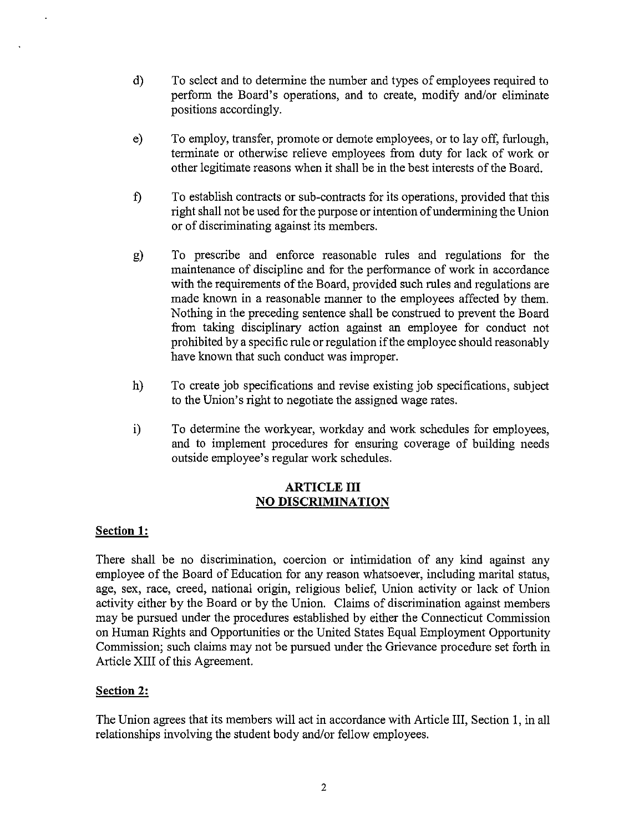- d) To select and to detennine the number and types of employees required to perfonn the Board's operations, and to create, modify and/or eliminate positions accordingly.
- e) To employ, transfer, promote or demote employees, or to layoff, furlough, tenninate or otherwise relieve employees from duty for lack of work or other legitimate reasons when it shall be in the best interests of the Board.
- f) To establish contracts or sub-contracts for its operations, provided that this right shall not be used for the purpose or intention of undermining the Union or of discriminating against its members.
- g) To prescribe and enforce reasonable rules and regulations for the maintenance of discipline and for the perfonnance of work in accordance with the requirements of the Board, provided such rules and regulations are made known in a reasonable manner to the employees affected by them. Nothing in the preceding sentence shall be construed to prevent the Board from taking disciplinary action against an employee for conduct not prohibited by a specific rule or regulation if the employee should reasonably have known that such conduct was improper.
- h) To create job specifications and revise existing job specifications, subject to the Union's right to negotiate the assigned wage rates.
- i) To detennine the workyear, workday and work schedules for employees, and to implement procedures for ensuring coverage of building needs outside employee's regular work schedules.

### ARTICLE III NO **DISCRIMINATION**

# Section **1:**

There shall be no discrimination, coercion or intimidation of any kind against any employee of the Board of Education for any reason whatsoever, including marital status, age, sex, race, creed, national origin, religious belief, Union activity or lack of Union activity either by the Board or by the Union. Claims of discrimination against members may be pursued under the procedures established by either the Connecticut Commission on Human Rights and Opportunities or the United States Equal Employment Opportunity Commission; such claims may not be pursued under the Grievance procedure set forth in Article XIII of this Agreement.

# Section 2:

The Union agrees that its members will act in accordance with Article III, Section I, in all relationships involving the student body and/or fellow employees.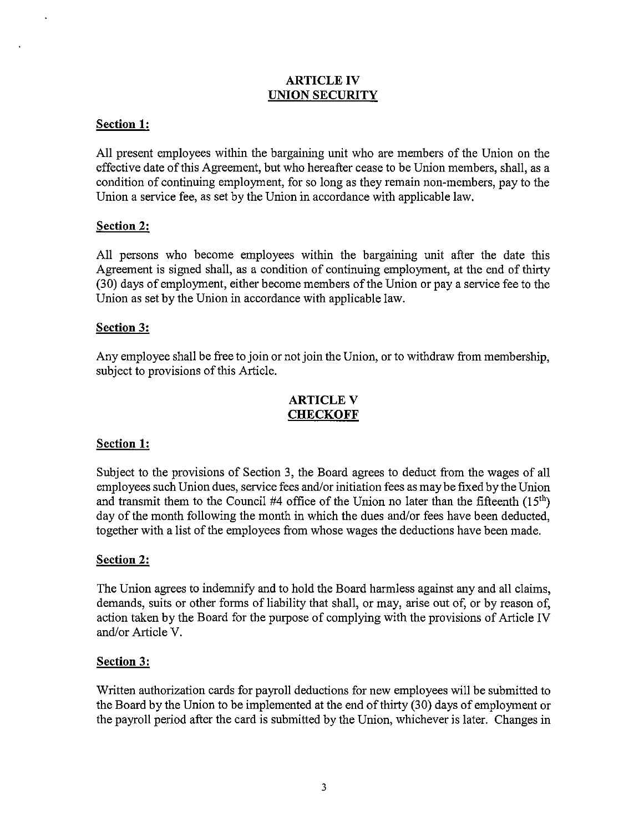#### ARTICLE IV **UNION SECURITY**

# **Section 1:**

**All** present employees within the bargaining unit who are members of the Union on the effective date of this Agreement, but who hereafter cease to be Union members, shall, as a condition of continuing employment, for so long as they remain non-members, pay to the Union a service fee, as set by the Union in accordance with applicable law.

# **Section 2:**

**All** persons who become employees within the bargaining unit after the date this Agreement is signed shall, as a condition of continuing employment, at the end of thirty (30) days of employment, either become members of the Union or pay a service fee to the Union as set by the Union in accordance with applicable law.

### **Section 3:**

Any employee shall be free to join or not join the Union, or to withdraw from membership, subject to provisions of this Article.

### ARTICLE V **CHECKOFF**

# **Section 1:**

Subject to the provisions of Section 3, the Board agrees to deduct from the wages of all employees such Union dues, service fees and/or initiation fees as may be fixed by the Union and transmit them to the Council #4 office of the Union no later than the fifteenth  $(15<sup>th</sup>)$ day of the month following the month in which the dues and/or fees have been deducted, together with a list of the employees from whose wages the deductions have been made.

#### **Section 2:**

The Union agrees to indemnify and to hold the Board harmless against any and all claims, demands, suits or other forms of liability that shall, or may, arise out of, or by reason of, action taken by the Board for the purpose of complying with the provisions of Article **IV**  and/or Article V.

#### **Section 3:**

Written authorization cards for payroll deductions for new employees will be submitted to the Board by the Union to be implemented at the end of thirty (30) days of employment or the payroll period after the card is submitted by the Union, whichever is later. Changes in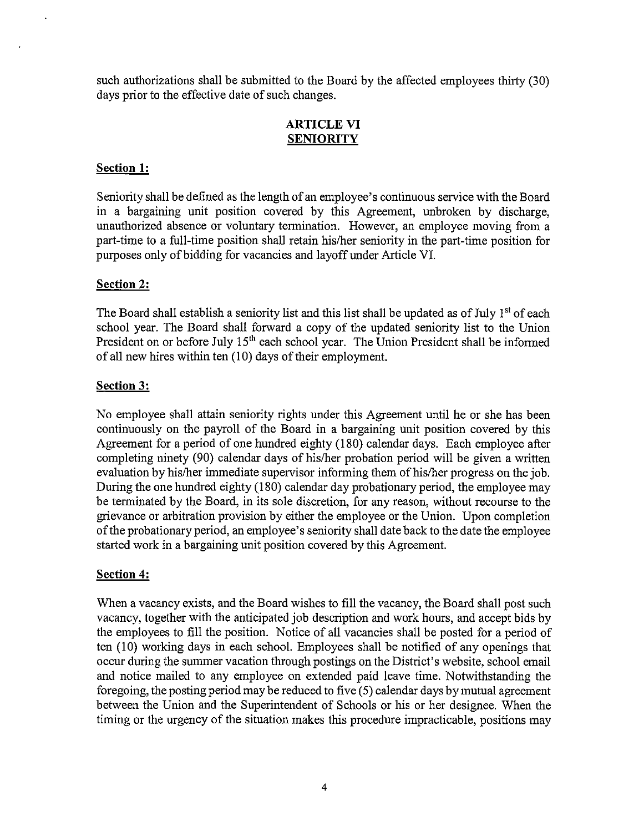such authorizations shall be submitted to the Board by the affected employees thirty (30) days prior to the effective date of such changes.

# ARTICLE VI **SENIORITY**

# Section 1:

Seniority shall be defined as the length of an employee's continuous service with the Board in a bargaining unit position covered by this Agreement, unbroken by discharge, unauthorized absence or voluntary termination. However, an employee moving from a part-time to a full-time position shall retain his/her seniority in the part-time position for purposes only of bidding for vacancies and layoff under Article VI.

# Section 2:

The Board shall establish a seniority list and this list shall be updated as of July  $1<sup>st</sup>$  of each school year. The Board shall forward a copy of the updated seniority list to the Union President on or before July  $15<sup>th</sup>$  each school year. The Union President shall be informed of all new hires within ten (10) days of their employment.

# Section 3:

No employee shall attain seniority rights under this Agreement until he or she has been continuously on the payroll of the Board in a bargaining unit position covered by this Agreement for a period of one hundred eighty (180) calendar days. Each employee after completing ninety (90) calendar days of his/her probation period will be given a written evaluation by his/her immediate supervisor informing them of his/her progress on the job. During the one hundred eighty (180) calendar day probationary period, the employee may be terminated by the Board, in its sole discretion, for any reason, without recourse to the grievance or arbitration provision by either the employee or the Union. Upon completion of the probationary period, an employee's seniority shall date back to the date the employee started work in a bargaining unit position covered by this Agreement.

# Section 4:

When a vacancy exists, and the Board wishes to fill the vacancy, the Board shall post such vacancy, together with the anticipated job description and work hours, and accept bids by the employees to fill the position. Notice of all vacancies shall be posted for a period of ten (10) working days in each school. Employees shall be notified of any openings that occur during the summer vacation through postings on the District's website, school email and notice mailed to any employee on extended paid leave time. Notwithstanding the foregoing, the posting period may be reduced to five (5) calendar days by mutual agreement between the Union and the Superintendent of Schools or his or her designee. When the timing or the urgency of the situation makes this procedure impracticable, positions may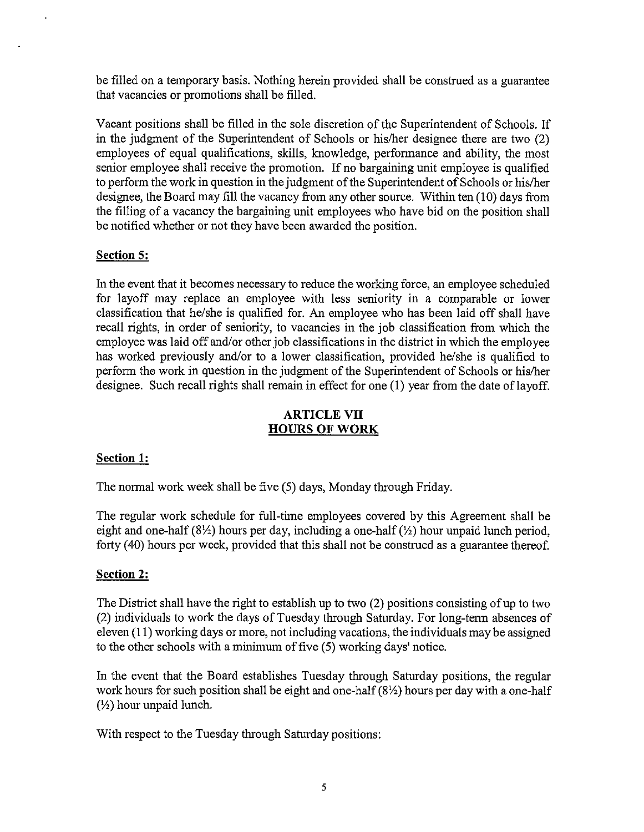be filled on a temporary basis. Nothing herein provided shall be construed as a guarantee that vacancies or promotions shall be filled.

Vacant positions shall be filled in the sole discretion of the Superintendent of Schools. If in the judgment of the Superintendent of Schools or his/her designee there are two (2) employees of equal qualifications, skills, knowledge, performance and ability, the most senior employee shall receive the promotion. If no bargaining unit employee is qualified to perform the work in question in the judgment of the Superintendent of Schools or hislher designee, the Board may fill the vacancy from any other source. Within ten (10) days from the filling of a vacancy the bargaining unit employees who have bid on the position shall be notified whether or not they have been awarded the position.

# **Section 5:**

In the event that it becomes necessary to reduce the working force, an employee scheduled for layoff may replace an employee with less seniority in a comparable or lower classification that he/she is qualified for. An employee who has been laid off shall have recall rights, in order of seniority, to vacancies in the job classification from which the employee was laid off and/or other job classifications in the district in which the employee has worked previously and/or to a lower classification, provided he/she is qualified to perform the work in question in the judgment of the Superintendent of Schools or hislher designee. Such recall rights shall remain in effect for one (1) year from the date of layoff.

### **ARTICLE VII HOURS OF WORK**

#### **Section 1:**

The normal work week shall be five (5) days, Monday through Friday.

The regular work schedule for full-time employees covered by this Agreement shall be eight and one-half (8\%) hours per day, including a one-half ( $\frac{1}{2}$ ) hour unpaid lunch period, forty (40) hours per week, provided that this shall not be construed as a guarantee thereof.

#### **Section 2:**

The District shall have the right to establish up to two (2) positions consisting of up to two (2) individuals to work the days of Tuesday through Saturday. For long-term absences of eleven (11) working days or more, not including vacations, the individuals may be assigned to the other schools with a minimum of five  $(5)$  working days' notice.

In the event that the Board establishes Tuesday through Saturday positions, the regular work hours for such position shall be eight and one-half  $(8\frac{1}{2})$  hours per day with a one-half  $(\frac{1}{2})$  hour unpaid lunch.

With respect to the Tuesday through Saturday positions: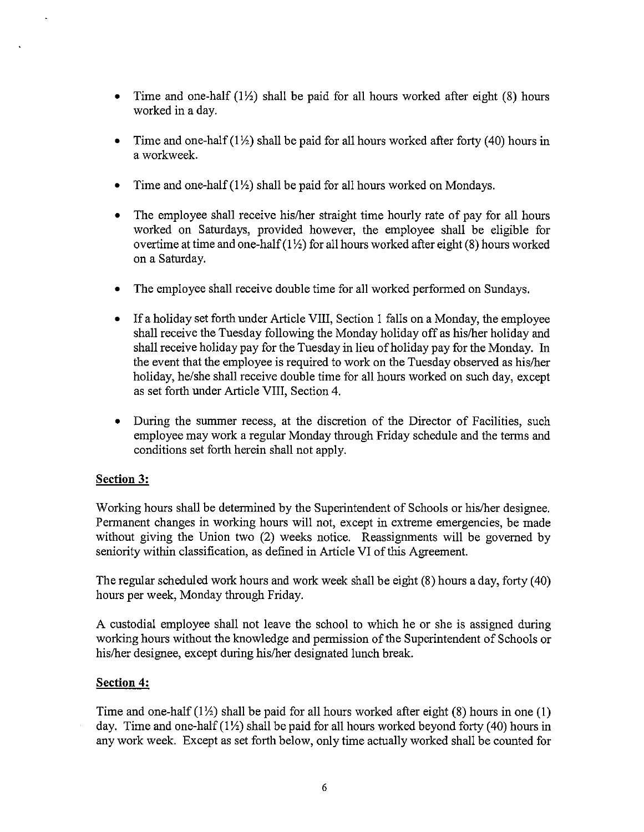- Time and one-half  $(1/2)$  shall be paid for all hours worked after eight (8) hours worked in a day.
- Time and one-half  $(1/2)$  shall be paid for all hours worked after forty (40) hours in a workweek.
- Time and one-half  $(1/2)$  shall be paid for all hours worked on Mondays.
- The employee shall receive his/her straight time hourly rate of pay for all hours worked on Saturdays, provided however, the employee shall be eligible for overtime at time and one-half  $(1/2)$  for all hours worked after eight (8) hours worked on a Saturday.
- The employee shall receive double time for all worked performed on Sundays.
- If a holiday set forth under Article VIII, Section 1 falls on a Monday, the employee shall receive the Tuesday following the Monday holiday off as his/her holiday and shall receive holiday pay for the Tuesday in lieu of holiday pay for the Monday. In the event that the employee is required to work on the Tuesday observed as hislher holiday, he/she shall receive double time for all hours worked on such day, except as set forth under Article VIII, Section 4.
- During the summer recess, at the discretion of the Director of Facilities, such employee may work a regular Monday through Friday schedule and the terms and conditions set forth herein shall not apply.

# **Section 3:**

Working hours shall be determined by the Superintendent of Schools or his/her designee. Permanent changes in working hours will not, except in extreme emergencies, be made without giving the Union two (2) weeks notice. Reassignments will be governed by seniority within classification, as defined in Article VI of this Agreement.

The regular scheduled work hours and work week shall be eight (8) hours a day, forty (40) hours per week, Monday through Friday.

A custodial employee shall not leave the school to which he or she is assigned during working hours without the knowledge and permission of the Superintendent of Schools or his/her designee, except during his/her designated lunch break.

# **Section 4:**

Time and one-half  $(1/2)$  shall be paid for all hours worked after eight (8) hours in one (1) day. Time and one-half  $(1\frac{1}{2})$  shall be paid for all hours worked beyond forty (40) hours in any work week. Except as set forth below, only time actually worked shall be counted for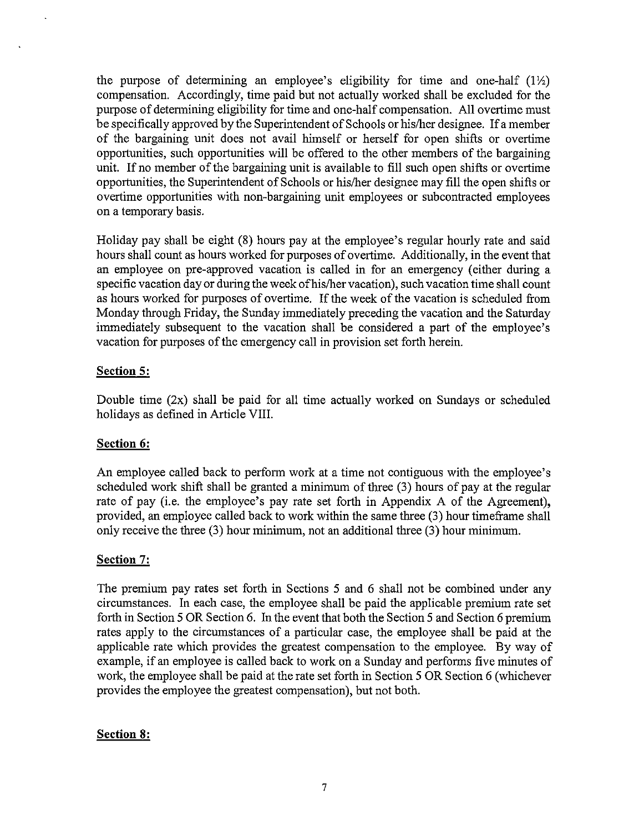the purpose of determining an employee's eligibility for time and one-half  $(1/2)$ compensation. Accordingly, time paid but not actually worked shall be excluded for the purpose of detennining eligibility for time and one-half compensation. All overtime must be specifically approved by the Superintendent of Schools or hislher designee. If a member of the bargaining unit does not avail himself or herself for open shifts or overtime opportunities, such opportunities will be offered to the other members of the bargaining unit. If no member of the bargaining unit is available to fill such open shifts or overtime opportunities, the Superintendent of Schools or hislher designee may fill the open shifts or overtime opportunities with non-bargaining unit employees or subcontracted employees on a temporary basis.

Holiday pay shall be eight (8) hours pay at the employee's regular hourly rate and said hours shall count as hours worked for purposes of overtime. Additionally, in the event that an employee on pre-approved vacation is called in for an emergency (either during a specific vacation day or during the week of his/her vacation), such vacation time shall count as hours worked for purposes of overtime. If the week of the vacation is scheduled from Monday through Friday, the Sunday immediately preceding the vacation and the Saturday immediately subsequent to the vacation shall be considered a part of the employee's vacation for purposes of the emergency call in provision set forth herein.

# **Section 5:**

Double time  $(2x)$  shall be paid for all time actually worked on Sundays or scheduled holidays as defined in Article VIII.

# **Section 6:**

An employee called back to perfonn work at a time not contiguous with the employee's scheduled work shift shall be granted a minimum of three (3) hours of pay at the regular rate of pay (i.e. the employee's pay rate set forth in Appendix A of the Agreement), provided, an employee called back to work within the same three (3) hour timeframe shall only receive the three (3) hour minimum, not an additional three (3) hour minimum.

#### **Section 7:**

The premium pay rates set forth in Sections 5 and 6 shall not be combined under any circumstances. In each case, the employee shall be paid the applicable premium rate set forth in Section 5 OR Section 6. In the event that both the Section 5 and Section 6 premium rates apply to the circumstances of a particular case, the employee shall be paid at the applicable rate which provides the greatest compensation to the employee. By way of example, if an employee is called back to work on a Sunday and performs five minutes of work, the employee shall be paid at the rate set forth in Section 5 OR Section 6 (whichever provides the employee the greatest compensation), but not both.

#### **Section 8:**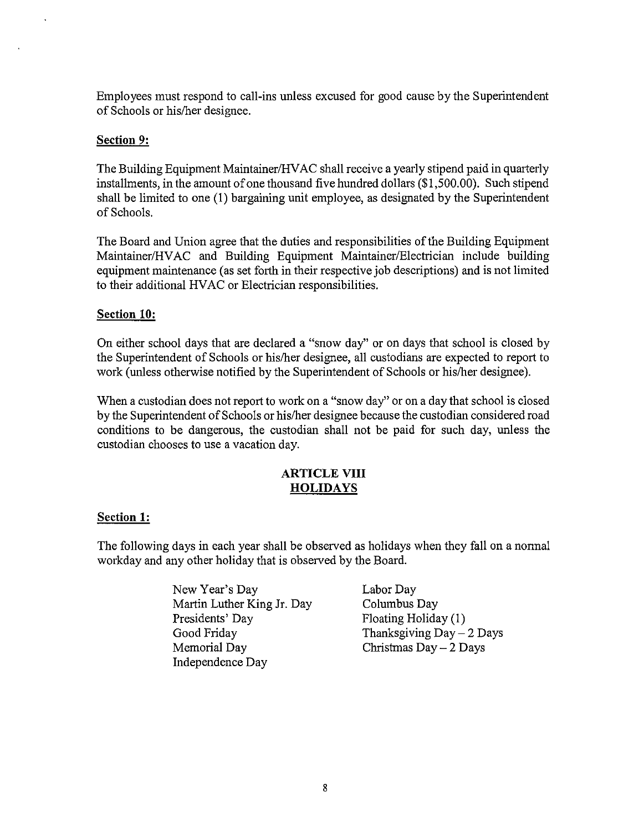Employees must respond to call-ins unless excused for good cause by the Superintendent of Schools or hislher designee.

#### **Section 9:**

The Building Equipment Maintainer/HV AC shall receive a yearly stipend paid in quarterly installments, in the amount of one thousand five hundred dollars (\$1,500.00). Such stipend shall be limited to one (1) bargaining unit employee, as designated by the Superintendent of Schools.

The Board and Union agree that the duties and responsibilities of the Building Equipment Maintainer/HVAC and Building Equipment Maintainer/Electrician include building equipment maintenance (as set forth in their respective job descriptions) and is not limited to their additional HVAC or Electrician responsibilities.

#### **Section 10:**

On either school days that are declared a "snow day" or on days that school is closed by the Superintendent of Schools or hislher designee, all custodians are expected to report to work (unless otherwise notified by the Superintendent of Schools or hislher designee).

When a custodian does not report to work on a "snow day" or on a day that school is closed by the Superintendent of Schools or hislher designee because the custodian considered road conditions to be dangerous, the custodian shall not be paid for such day, unless the custodian chooses to use a vacation day.

### **ARTICLE VIII HOLIDAYS**

#### **Section 1:**

The following days in each year shall be observed as holidays when they fall on a normal workday and any other holiday that is observed by the Board.

- New Year's Day Martin Luther King Jr. Day Presidents' Day Good Friday Memorial Day Independence Day
- Labor Day Columbus Day Floating Holiday (1) Thanksgiving  $Day - 2$  Days Christmas  $Day - 2$  Days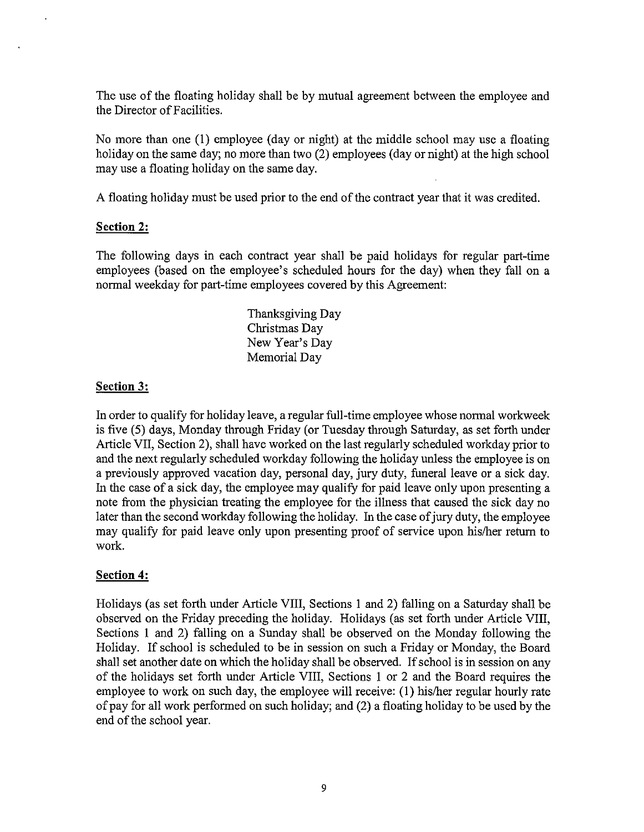The use of the floating holiday shall be by mutual agreement between the employee and the Director of Facilities.

No more than one (1) employee (day or night) at the middle school may use a floating holiday on the same day; no more than two (2) employees (day or night) at the high school may use a floating holiday on the same day.

A floating holiday must be used prior to the end of the contract year that it was credited.

### **Section 2:**

The following days in each contract year shall be paid holidays for regular part-time employees (based on the employee's scheduled hours for the day) when they fall on a normal weekday for part-time employees covered by this Agreement:

> Thanksgiving Day Christmas Day New Year's Day Memorial Day

### **Section** 3:

In order to qualify for holiday leave, a regular full-time employee whose normal workweek is five (5) days, Monday through Friday (or Tuesday through Saturday, as set forth under Article VII, Section 2), shall have worked on the last regularly scheduled workday prior to and the next regularly scheduled workday following the holiday unless the employee is on a previously approved vacation day, personal day, jury duty, funeral leave or a sick day. In the case of a sick day, the employee may quality for paid leave only upon presenting a note from the physician treating the employee for the illness that caused the sick day no later than the second workday following the holiday. In the case of jury duty, the employee may quality for paid leave only upon presenting proof of service upon his/her return to work.

# **Section 4:**

Holidays (as set forth under Article VIII, Sections 1 and 2) falling on a Saturday shall be observed on the Friday preceding the holiday. Holidays (as set forth under Article VIII, Sections 1 and 2) falling on a Sunday shall be observed on the Monday following the Holiday. If school is scheduled to be in session on such a Friday or Monday, the Board shall set another date on which the holiday shall be observed. If school is in session on any of the holidays set forth under Article VIII, Sections 1 or 2 and the Board requires the employee to work on such day, the employee will receive: (1) his/her regular hourly rate of pay for all work performed on such holiday; and (2) a floating holiday to be used by the end of the school year.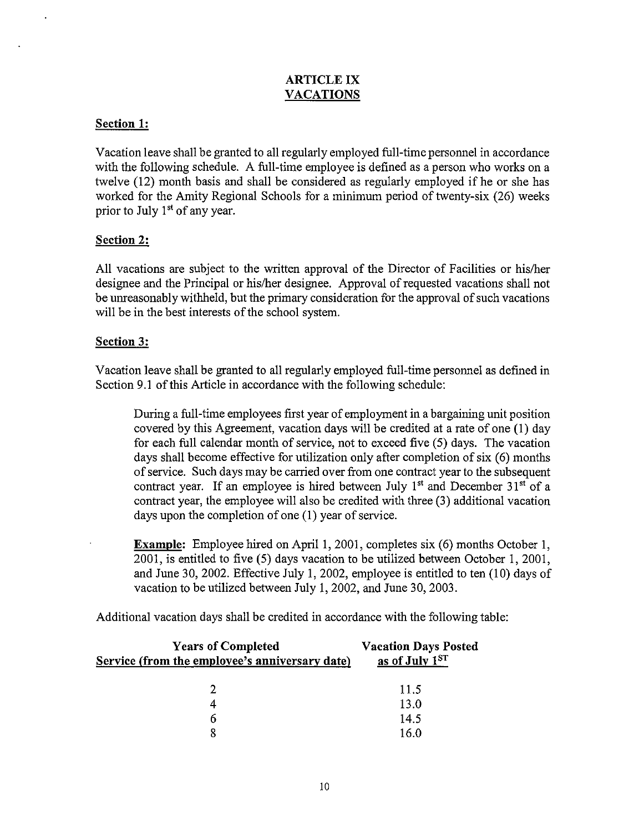### ARTICLE IX VACATIONS

# Section 1:

Vacation leave shall be granted to all regularly employed full-time personnel in accordance with the following schedule. A full-time employee is defined as a person who works on a twelve (12) month basis and shall be considered as regularly employed if he or she has worked for the Amity Regional Schools for a minimum period of twenty-six (26) weeks prior to July  $1<sup>st</sup>$  of any year.

# Section 2:

All vacations are subject to the written approval of the Director of Facilities or his/her designee and the Principal or his/her designee. Approval of requested vacations shall not be unreasonably withheld, but the primary consideration for the approval of such vacations will be in the best interests of the school system.

### Section 3:

Vacation leave shall be granted to all regularly employed full-time personnel as defined in Section 9.1 of this Article in accordance with the following schedule:

During a full-time employees first year of employment in a bargaining unit position covered by this Agreement, vacation days will be credited at a rate of one (1) day for each full calendar month of service, not to exceed five (5) days. The vacation days shall become effective for utilization only after completion of six (6) months of service. Such days may be carried over from one contract year to the subsequent contract year. If an employee is hired between July  $1<sup>st</sup>$  and December  $31<sup>st</sup>$  of a contract year, the employee will also be credited with three (3) additional vacation days upon the completion of one (1) year of service.

Example: Employee hired on April 1, 2001, completes six (6) months October 1, 2001, is entitled to five (5) days vacation to be utilized between October 1, 2001, and June 30, 2002. Effective July 1, 2002, employee is entitled to ten (10) days of vacation to be utilized between July 1, 2002, and June 30, 2003.

Additional vacation days shall be credited in accordance with the following table:

| <b>Years of Completed</b><br>Service (from the employee's anniversary date) | <b>Vacation Days Posted</b><br>as of July 1ST |
|-----------------------------------------------------------------------------|-----------------------------------------------|
|                                                                             | 11.5                                          |
|                                                                             | 13.0                                          |
| h                                                                           | 14.5                                          |
|                                                                             | 16.0                                          |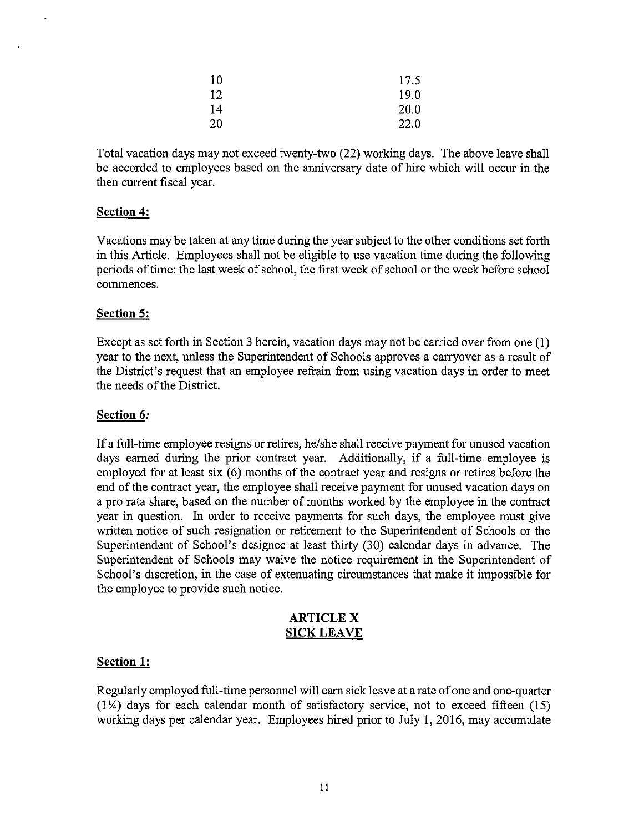| 10 | 17.5 |
|----|------|
| 12 | 19.0 |
| 14 | 20.0 |
| 20 | 22.0 |

Total vacation days may not exceed twenty-two (22) working days. The above leave shall be accorded to employees based on the anniversary date of hire which will occur in the then current fiscal year.

#### **Section 4:**

Vacations may be taken at any time during the year subject to the other conditions set forth in this Article. Employees shall not be eligible to use vacation time during the following periods of time: the last week of school, the first week of school or the week before school commences.

#### **Section 5:**

Except as set forth in Section 3 herein, vacation days may not be carried over from one (1) year to the next, unless the Superintendent of Schools approves a carryover as a result of the District's request that an employee refrain from using vacation days in order to meet the needs of the District.

### **Section 6:**

If a full-time employee resigns or retires, he/she shall receive payment for unused vacation days earned during the prior contract year. Additionally, if a full-time employee is employed for at least six (6) months of the contract year and resigns or retires before the end of the contract year, the employee shall receive payment for unused vacation days on a pro rata share, based on the number of months worked by the employee in the contract year in question. In order to receive payments for such days, the employee must give written notice of such resignation or retirement to the Superintendent of Schools or the Superintendent of School's designee at least thirty (30) calendar days in advance. The Superintendent of Schools may waive the notice requirement in the Superintendent of School's discretion, in the case of extenuating circumstances that make it impossible for the employee to provide such notice.

#### **ARTICLE X** SICK LEAVE

#### **Section 1:**

Regularly employed full-time personnel will earn sick leave at a rate of one and one-quarter  $(1\frac{1}{4})$  days for each calendar month of satisfactory service, not to exceed fifteen (15) working days per calendar year. Employees hired prior to July 1, 2016, may accumulate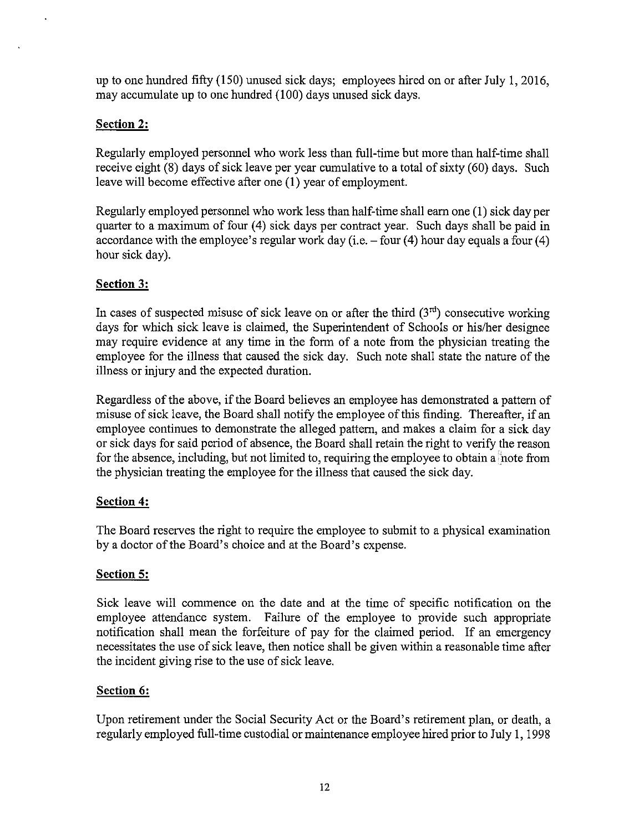up to one hundred fifty (150) unused sick days; employees hired on or after July I, 2016, may accumulate up to one hundred (100) days unused sick days.

# **Section 2:**

Regularly employed personnel who work less than full-time but more than half-time shall receive eight (8) days of sick leave per year cumulative to a total of sixty (60) days. Such leave will become effective after one (1) year of employment.

Regularly employed personnel who work less than half-time shall earn one (I) sick day per quarter to a maximum of four (4) sick days per contract year. Such days shall be paid in accordance with the employee's regular work day  $(i.e. - four (4)$  hour day equals a four  $(4)$ hour sick day).

# **Section 3:**

In cases of suspected misuse of sick leave on or after the third  $(3<sup>rd</sup>)$  consecutive working days for which sick leave is claimed, the Superintendent of Schools or his/her designee may require evidence at any time in the form of a note from the physician treating the employee for the illness that caused the sick day. Such note shall state the nature of the illness or injury and the expected duration.

Regardless of the above, if the Board believes an employee has demonstrated a pattern of misuse of sick leave, the Board shall notify the employee of this finding. Thereafter, if an employee continues to demonstrate the alleged pattern, and makes a claim for a sick day or sick days for said period of absence, the Board shall retain the right to verify the reason for the absence, including, but not limited to, requiring the employee to obtain a note from the physician treating the employee for the illness that caused the sick day.

# **Section 4:**

The Board reserves the right to require the employee to submit to a physical examination by a doctor of the Board's choice and at the Board's expense.

# **Section 5:**

Sick leave will commence on the date and at the time of specific notification on the employee attendance system. Failure of the employee to provide such appropriate notification shall mean the forfeiture of pay for the claimed period. If an emergency necessitates the use of sick leave, then notice shall be given within a reasonable time after the incident giving rise to the use of sick leave.

# **Section 6:**

Upon retirement under the Social Security Act or the Board's retirement plan, or death, a regularly employed full-time custodial or maintenance employee hired prior to July I, 1998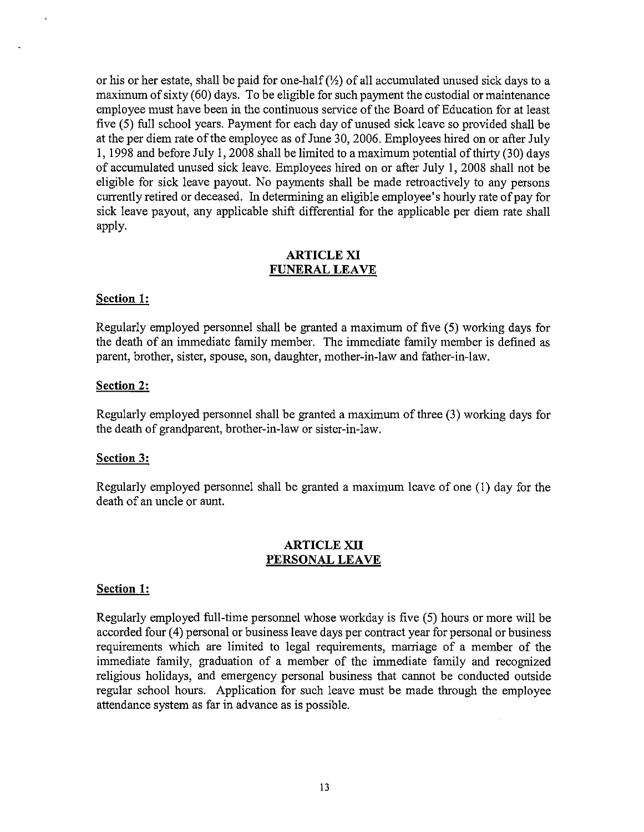or his or her estate, shall be paid for one-half *(Yz)* of all accumulated unused sick days to a maximum of sixty (60) days. To be eligible for such payment the custodial or maintenance employee must have been in the continuous service of the Board of Education for at least five (5) full school years. Payment for each day of unused sick leave so provided shall be at the per diem rate of the employee as of June 30, 2006. Employees hired on or after July 1, 1998 and before July 1, 2008 shall be limited to a maximum potential ofthirty (30) days of accumulated unused sick leave. Employees hired on or after July 1, 2008 shall not be eligible for sick leave payout. No payments shall be made retroactively to any persons currently retired or deceased. In determining an eligible employee's hourly rate of pay for sick leave payout, any applicable shift differential for the applicable per diem rate shall apply.

### ARTICLE XI FUNERAL LEAVE

#### Section 1:

Regularly employed personnel shall be granted a maximum of five (5) working days for the death of an immediate family member. The immediate family member is defined as parent, brother, sister, spouse, son, daughter, mother-in-law and father-in-law.

#### Section 2:

Regularly employed personnel shall be granted a maximum of three (3) working days for the death of grandparent, brother-in-law or sister-in-law.

#### Section 3:

Regularly employed personnel shall be granted a maximum leave of one (1) day for the death of an uncle or aunt.

#### ARTICLE XII PERSONAL **LEAVE**

#### Section 1:

Regularly employed full-time personnel whose workday is five (5) hours or more will be accorded four (4) personal or business leave days per contract year for personal or business requirements which are limited to legal requirements, marriage of a member of the immediate family, graduation of a member of the immediate family and recognized religious holidays, and emergency personal business that cannot be conducted outside regular school hours. Application for such leave must be made through the employee attendance system as far in advance as is possible.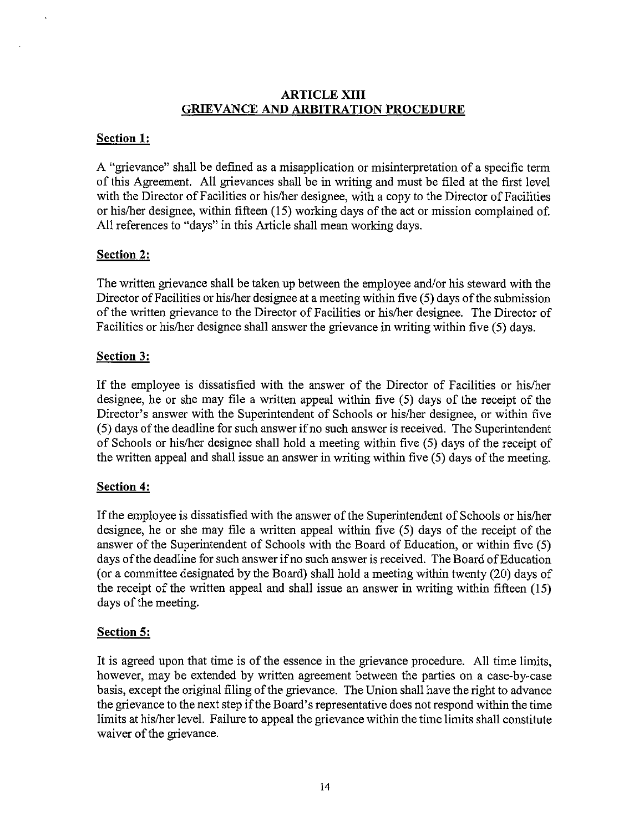#### **ARTICLE XIII GRIEVANCE AND ARBITRATION PROCEDURE**

# **Section 1:**

A "grievance" shall be defined as a misapplication or misinterpretation of a specific term of this Agreement. **All** grievances shall be in writing and must be filed at the first level with the Director of Facilities or his/her designee, with a copy to the Director of Facilities or his/her designee, within fifteen (15) working days of the act or mission complained of. All references to "days" in this Article shall mean working days.

# **Section 2:**

The written grievance shall be taken up between the employee and/or his steward with the Director of Facilities or his/her designee at a meeting within five (5) days of the submission of the written grievance to the Director of Facilities or hislher designee. The Director of Facilities or his/her designee shall answer the grievance in writing within five (5) days.

# **Section 3:**

If the employee is dissatisfied with the answer of the Director of Facilities or hislher designee, he or she may file a written appeal within five (5) days of the receipt of the Director's answer with the Superintendent of Schools or hislher designee, or within five (5) days of the deadline for such answer if no such answer is received. The Superintendent of Schools or hislher designee shall hold a meeting within five (5) days of the receipt of the written appeal and shall issue an answer in writing within five (5) days of the meeting.

# **Section 4:**

If the employee is dissatisfied with the answer of the Superintendent of Schools or hislher designee, he or she may file a written appeal within five (5) days of the receipt of the answer of the Superintendent of Schools with the Board of Education, or within five (5) days ofthe deadline for such answer ifno such answer is received. The Board of Education (or a committee designated by the Board) shall hold a meeting within twenty (20) days of the receipt of the written appeal and shall issue an answer in writing within fifteen (15) days of the meeting.

# **Section 5:**

It is agreed upon that time is of the essence in the grievance procedure. All time limits, however, may be extended by written agreement between the parties on a case-by-case basis, except the original filing of the grievance. The Union shall have the right to advance the grievance to the next step if the Board's representative does not respond within the time limits at hislher level. Failure to appeal the grievance within the time limits shall constitute waiver of the grievance.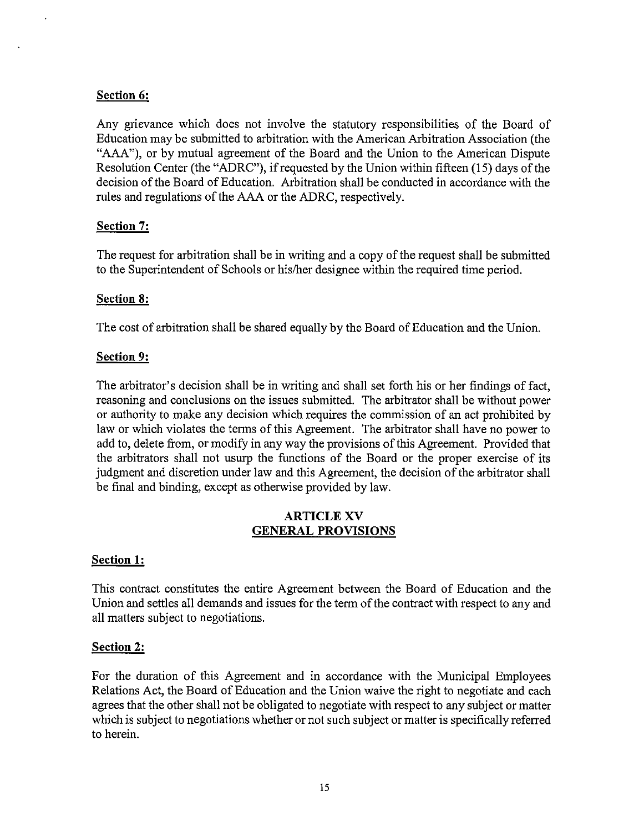# **Section 6:**

Any grievance which does not involve the statutory responsibilities of the Board of Education may be submitted to arbitration with the American Arbitration Association (the "AAA"), or by mutual agreement of the Board and the Union to the American Dispute Resolution Center (the "ADRC"), if requested by the Union within fifteen (15) days of the decision of the Board of Education. Arbitration shall be conducted in accordance with the rules and regulations of the AAA or the ADRC, respectively.

### **Section 7:**

The request for arbitration shall be in writing and a copy of the request shall be submitted to the Superintendent of Schools or hislher designee within the required time period.

#### **Section 8:**

The cost of arbitration shall be shared equally by the Board of Education and the Union.

#### **Section 9:**

The arbitrator's decision shall be in writing and shall set forth his or her findings of fact, reasoning and conclusions on the issues submitted. The arbitrator shall be without power or authority to make any decision which requires the commission of an act prohibited by law or which violates the terms of this Agreement. The arbitrator shall have no power to add to, delete from, or modify in any way the provisions of this Agreement. Provided that the arbitrators shall not usurp the functions of the Board or the proper exercise of its judgment and discretion under law and this Agreement, the decision of the arbitrator shall be final and binding, except as otherwise provided by law.

### ARTICLE XV **GENERAL PROVISIONS**

#### **Section 1:**

This contract constitutes the entire Agreement between the Board of Education and the Union and settles all demands and issues for the term of the contract with respect to any and all matters subject to negotiations.

#### **Section 2:**

For the duration of this Agreement and in accordance with the Municipal Employees Relations Act, the Board of Education and the Union waive the right to negotiate and each agrees that the other shall not be obligated to negotiate with respect to any subject or matter which is subject to negotiations whether or not such subject or matter is specifically referred to herein.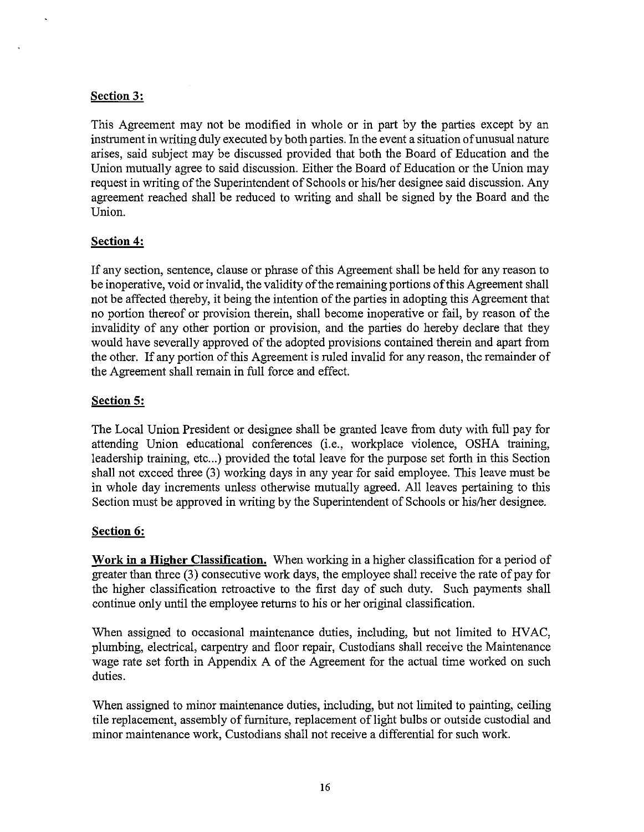# **Section 3:**

This Agreement may not be modified in whole or in part by the parties except by an instrument in writing duly executed by both parties. In the event a situation of unusual nature arises, said subject may be discussed provided that both the Board of Education and the Union mutually agree to said discussion. Either the Board of Education or the Union may request in writing of the Superintendent of Schools or his/her designee said discussion. Any agreement reached shall be reduced to writing and shall be signed by the Board and the Union.

### **Section 4:**

If any section, sentence, clause or phrase of this Agreement shall be held for any reason to be inoperative, void or invalid, the validity of the remaining portions of this Agreement shall not be affected thereby, it being the intention of the parties in adopting this Agreement that no portion thereof or provision therein, shall become inoperative or fail, by reason of the invalidity of any other portion or provision, and the parties do hereby declare that they would have severally approved of the adopted provisions contained therein and apart from the other. If any portion of this Agreement is ruled invalid for any reason, the remainder of the Agreement shall remain in full force and effect.

### **Section 5:**

The Local Union President or designee shall be granted leave from duty with full pay for attending Union educational conferences (i.e., workplace violence, OSHA training, leadership training, etc...) provided the total leave for the purpose set forth in this Section shall not exceed three (3) working days in any year for said employee. This leave must be in whole day increments unless otherwise mutually agreed. All leaves pertaining to this Section must be approved in writing by the Superintendent of Schools or his/her designee.

#### **Section 6:**

**Work in a Higher Classification.** When working in a higher classification for a period of greater than three (3) consecutive work days, the employee shall receive the rate of pay for the higher classification retroactive to the first day of such duty. Such payments shall continue only until the employee returns to his or her original classification.

When assigned to occasional maintenance duties, including, but not limited to HVAC, plumbing, electrical, carpentry and floor repair, Custodians shall receive the Maintenance wage rate set forth in Appendix A of the Agreement for the actual time worked on such duties.

When assigned to minor maintenance duties, including, but not limited to painting, ceiling tile replacement, assembly of furniture, replacement of light bulbs or outside custodial and minor maintenance work, Custodians shall not receive a differential for such work.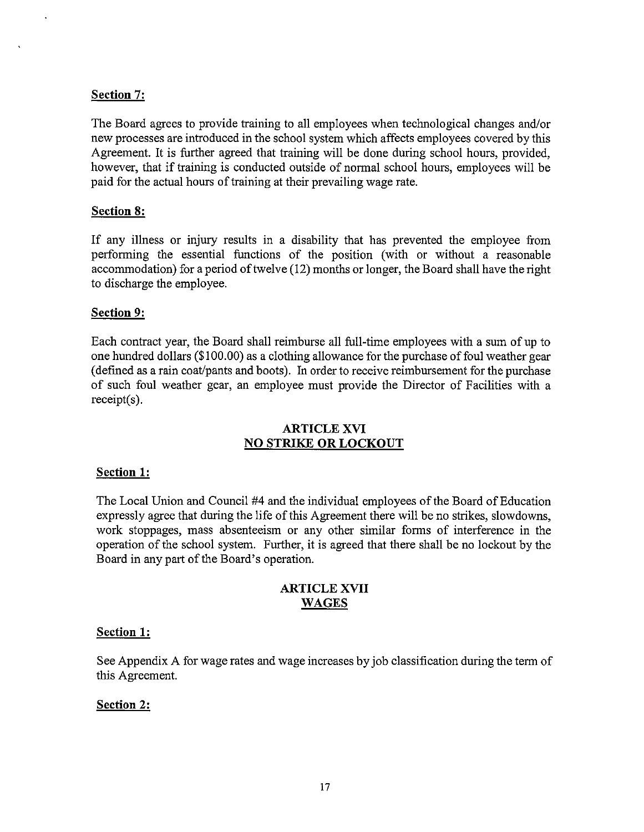### **Section** 7:

The Board agrees to provide training to all employees when technological changes and/or new processes are introduced in the school system which affects employees covered by this Agreement. It is further agreed that training will be done during school hours, provided, however, that if training is conducted outside of normal school hours, employees will be paid for the actual hours of training at their prevailing wage rate.

#### **Section 8:**

If any illness or injury results in a disability that has prevented the employee from performing the essential functions of the position (with or without a reasonable accommodation) for a period of twelve (12) months or longer, the Board shall have the right to discharge the employee.

#### **Section 9:**

Each contract year, the Board shall reimburse all full-time employees with a sum of up to one hundred dollars  $(\$100.00)$  as a clothing allowance for the purchase of foul weather gear (defined as a rain coat/pants and boots). In order to receive reimbursement for the purchase of such foul weather gear, an employee must provide the Director of Facilities with a receipt(s).

### ARTICLE XVI **NO STRIKE OR LOCKOUT**

#### **Section 1:**

The Local Union and Council #4 and the individual employees of the Board of Education expressly agree that during the life of this Agreement there will be no strikes, slowdowns, work stoppages, mass absenteeism or any other similar forms of interference in the operation of the school system. Further, it is agreed that there shall be no lockout by the Board in any part of the Board's operation.

### **ARTICLE XVII WAGES**

#### **Section 1:**

See Appendix A for wage rates and wage increases by job classification during the term of this Agreement.

# **Section 2:**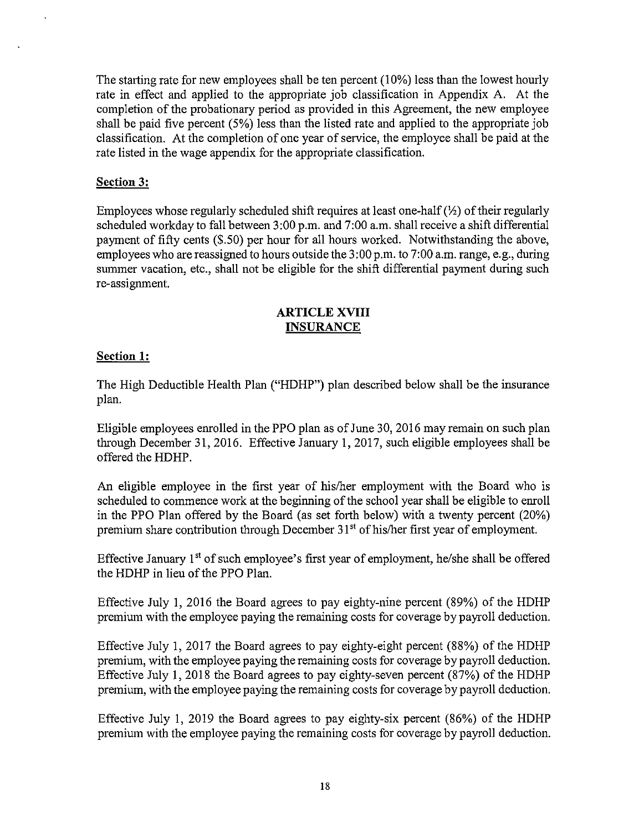The starting rate for new employees shall be ten percent (10%) less than the lowest hourly rate in effect and applied to the appropriate job classification in Appendix A. At the completion of the probationary period as provided in this Agreement, the new employee shall be paid five percent (5%) less than the listed rate and applied to the appropriate job classification. At the completion of one year of service, the employee shall be paid at the rate listed in the wage appendix for the appropriate classification.

### **Section** 3:

Employees whose regularly scheduled shift requires at least one-half  $(\frac{1}{2})$  of their regularly scheduled workday to fall between 3:00 p.m. and 7:00 a.m. shall receive a shift differential payment of fifty cents (\$.50) per hour for all hours worked. Notwithstanding the above, employees who are reassigned to hours outside the 3 :00 p.m. to 7:00 a.m. range, e.g., during summer vacation, etc., shall not be eligible for the shift differential payment during such re-assignment.

#### **ARTICLE XVIII INSURANCE**

### **Section 1:**

The High Deductible Health Plan ("HDHP") plan described below shall be the insurance plan.

Eligible employees enrolled in the PPO plan as of June 30, 2016 may remain on such plan through December 31, 2016. Effective January I, 2017, such eligible employees shall be offered the HDHP.

An eligible employee in the first year of his/her employment with the Board who is scheduled to commence work at the beginning of the school year shall be eligible to enroll in the PPO Plan offered by the Board (as set forth below) with a twenty percent (20%) premium share contribution through December  $31<sup>st</sup>$  of his/her first year of employment.

Effective January 1<sup>st</sup> of such employee's first year of employment, he/she shall be offered the HDHP in lieu of the PPO Plan.

Effective July 1, 2016 the Board agrees to pay eighty-nine percent (89%) of the HDHP premium with the employee paying the remaining costs for coverage by payroll deduction.

Effective July I, 2017 the Board agrees to pay eighty-eight percent (88%) of the HDHP premium, with the employee paying the remaining costs for coverage by payroll deduction. Effective July 1,2018 the Board agrees to pay eighty-seven percent (87%) of the HDHP premium, with the employee paying the remaining costs for coverage by payroll deduction.

Effective July I, 2019 the Board agrees to pay eighty-six percent (86%) of the HDHP premium with the employee paying the remaining costs for coverage by payroll deduction.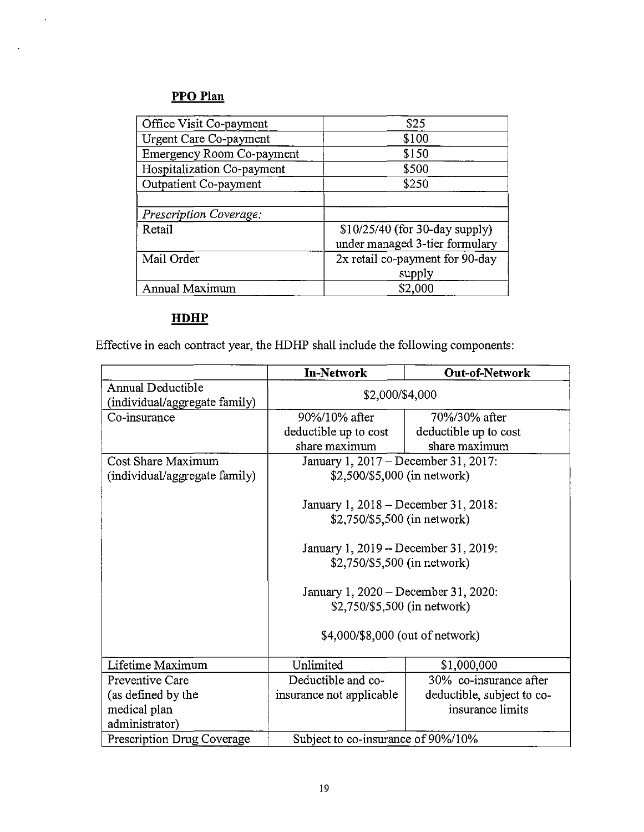# **PPO Plan**

 $\sim$   $\sim$ 

 $\mathcal{L}_{\mathcal{A}}$ 

| Office Visit Co-payment          | \$25                            |  |
|----------------------------------|---------------------------------|--|
| Urgent Care Co-payment           | \$100                           |  |
| <b>Emergency Room Co-payment</b> | \$150                           |  |
| Hospitalization Co-payment       | \$500                           |  |
| Outpatient Co-payment            | \$250                           |  |
|                                  |                                 |  |
| Prescription Coverage:           |                                 |  |
| Retail                           | $$10/25/40$ (for 30-day supply) |  |
|                                  | under managed 3-tier formulary  |  |
| Mail Order                       | 2x retail co-payment for 90-day |  |
|                                  | supply                          |  |
| Annual Maximum                   | \$2,000                         |  |

# **HDHP**

Effective in each contract year, the HDHP shall include the following components:

|                               | <b>In-Network</b>                    | <b>Out-of-Network</b>                |  |
|-------------------------------|--------------------------------------|--------------------------------------|--|
| Annual Deductible             | \$2,000/\$4,000                      |                                      |  |
| (individual/aggregate family) |                                      |                                      |  |
| Co-insurance                  | 90%/10% after                        | 70%/30% after                        |  |
|                               | deductible up to cost                | deductible up to cost                |  |
|                               | share maximum                        | share maximum                        |  |
| Cost Share Maximum            |                                      | January 1, 2017 – December 31, 2017: |  |
| (individual/aggregate family) | \$2,500/\$5,000 (in network)         |                                      |  |
|                               |                                      |                                      |  |
|                               | January 1, 2018 – December 31, 2018: |                                      |  |
|                               | \$2,750/\$5,500 (in network)         |                                      |  |
|                               |                                      |                                      |  |
|                               | January 1, 2019 – December 31, 2019: |                                      |  |
|                               | \$2,750/\$5,500 (in network)         |                                      |  |
|                               |                                      |                                      |  |
|                               | January 1, 2020 – December 31, 2020: |                                      |  |
|                               | \$2,750/\$5,500 (in network)         |                                      |  |
|                               |                                      |                                      |  |
|                               | \$4,000/\$8,000 (out of network)     |                                      |  |
|                               |                                      |                                      |  |
| Lifetime Maximum              | Unlimited                            | \$1,000,000                          |  |
| Preventive Care               | Deductible and co-                   | 30% co-insurance after               |  |
| (as defined by the            | insurance not applicable             | deductible, subject to co-           |  |
| medical plan                  |                                      | insurance limits                     |  |
| administrator)                |                                      |                                      |  |
| Prescription Drug Coverage    | Subject to co-insurance of 90%/10%   |                                      |  |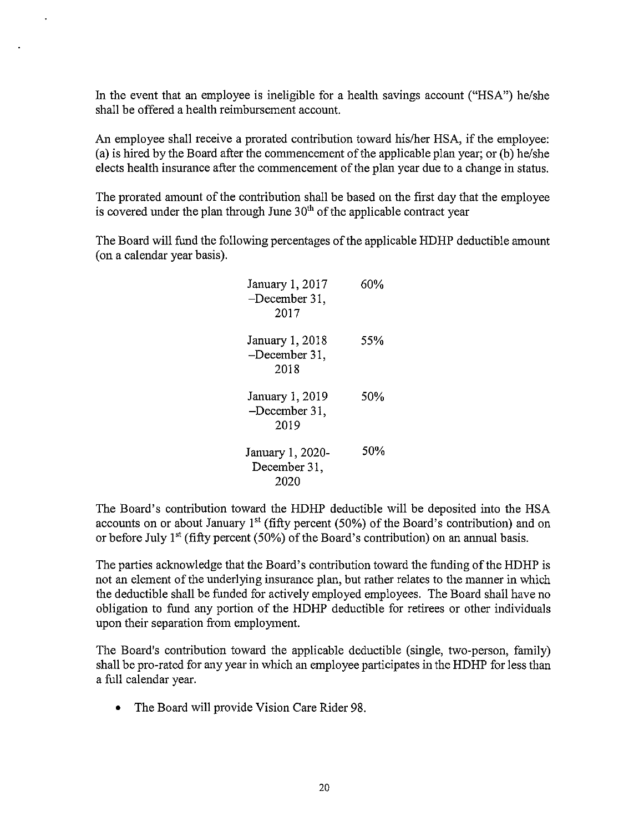In the event that an employee is ineligible for a health savings account ("HSA") he/she shall be offered a health reimbursement account.

An employee shall receive a prorated contribution toward hislher HSA, if the employee: (a) is hired by the Board after the commencement of the applicable plan year; or (b) he/she elects health insurance after the commencement of the plan year due to a change in status.

The prorated amount of the contribution shall be based on the first day that the employee is covered under the plan through June  $30<sup>th</sup>$  of the applicable contract year

The Board will fund the following percentages of the applicable HDHP deductible amount (on a calendar year basis).

| January 1, 2017<br>$-December 31$ ,<br>2017 | 60% |
|---------------------------------------------|-----|
| January 1, 2018<br>-December 31,<br>2018    | 55% |
| January 1, 2019<br>-December 31,<br>2019    | 50% |
| January 1, 2020-<br>December 31,<br>2020    | 50% |

The Board's contribution toward the HDHP deductible will be deposited into the HSA accounts on or about January  $1<sup>st</sup>$  (fifty percent (50%) of the Board's contribution) and on or before July  $1<sup>st</sup>$  (fifty percent (50%) of the Board's contribution) on an annual basis.

The parties acknowledge that the Board's contribution toward the funding ofthe HDHP is not an element of the underlying insurance plan, but rather relates to the manner in which the deductible shall be funded for actively employed employees. The Board shall have no obligation to fund any portion of the HDHP deductible for retirees or other individuals upon their separation from employment.

The Board's contribution toward the applicable deductible (single, two-person, family) shall be pro-rated for any year in which an employee participates in the HDHP for less than a full calendar year.

• The Board will provide Vision Care Rider 98.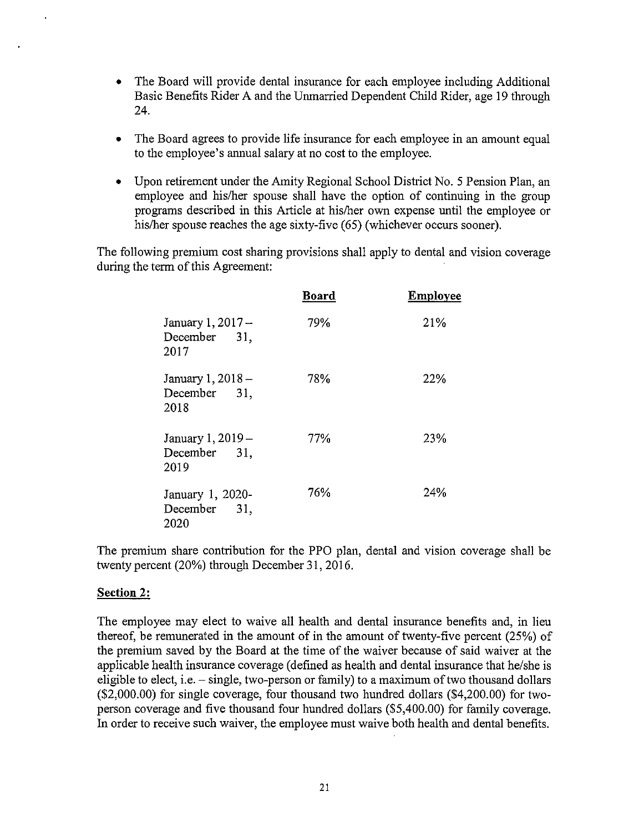- The Board will provide dental insurance for each employee including Additional Basic Benefits Rider A and the Unmarried Dependent Child Rider, age 19 through 24.
- The Board agrees to provide life insurance for each employee in an amount equal to the employee's annual salary at no cost to the employee.
- Upon retirement under the Amity Regional School District No.5 Pension Plan, an employee and hislher spouse shall have the option of continuing in the group programs described in this Article at hislher own expense until the employee or his/her spouse reaches the age sixty-five (65) (whichever occurs sooner).

The following premium cost sharing provisions shall apply to dental and vision coverage during the term of this Agreement:

|                                             | Board | Employee |
|---------------------------------------------|-------|----------|
| January 1, 2017 -<br>December 31.<br>2017   | 79%   | 21%      |
| January 1, 2018 -<br>December 31,<br>2018   | 78%   | 22%      |
| January 1, 2019 -<br>December 31,<br>2019   | 77%   | 23%      |
| January 1, 2020-<br>December<br>31,<br>2020 | 76%   | 24%      |

The premium share contribution for the PPO plan, dental and vision coverage shall be twenty percent (20%) through December 31, 2016.

#### **Section 2:**

The employee may elect to waive all health and dental insurance benefits and, in lieu thereof, be remunerated in the amount of in the amount of twenty-five percent (25%) of the premium saved by the Board at the time of the waiver because of said waiver at the applicable health insurance coverage (defined as health and dental insurance that he/she is eligible to elect, i.e. - single, two-person or family) to a maximum of two thousand dollars (\$2,000.00) for single coverage, four thousand two hundred dollars (\$4,200.00) for twoperson coverage and five thousand four hundred dollars (\$5,400.00) for family coverage. **In** order to receive such waiver, the employee must waive both health and dental benefits.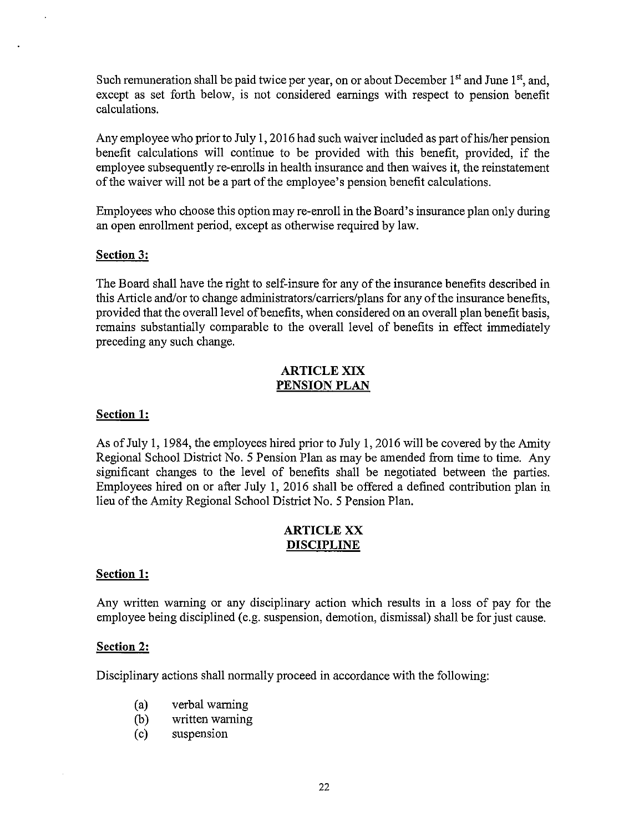Such remuneration shall be paid twice per year, on or about December  $1<sup>st</sup>$  and June  $1<sup>st</sup>$ , and, except as set forth below, is not considered earnings with respect to pension benefit calculations.

Any employee who prior to July 1, 2016 had such waiver included as part of his/her pension benefit calculations will continue to be provided with this benefit, provided, if the employee subsequently re-enrolls in health insurance and then waives it, the reinstatement ofthe waiver will not be a part of the employee's pension benefit calculations.

Employees who choose this option may re-enroll in the Board's insurance plan only during an open enrollment period, except as otherwise required by law.

#### Section 3:

The Board shall have the right to self-insure for any of the insurance benefits described in this Article and/or to change administrators/carriers/plans for any of the insurance benefits, provided that the overall level of benefits, when considered on an overall plan benefit basis, remains substantially comparable to the overall level of benefits in effect immediately preceding any such change.

#### ARTICLE XIX PENSION PLAN

#### Section 1:

As of July 1,1984, the employees hired prior to July I, 2016 will be covered by the Amity Regional School District No.5 Pension Plan as may be amended from time to time. Any significant changes to the level of benefits shall be negotiated between the parties. Employees hired on or after July I, 2016 shall be offered a defined contribution plan in lieu of the Amity Regional School District No.5 Pension Plan.

### ARTICLE XX DISCIPLINE

#### Section 1:

Any written warning or any disciplinary action which results in a loss of pay for the employee being disciplined (e.g. suspension, demotion, dismissal) shall be for just cause.

#### Section 2:

Disciplinary actions shall normally proceed in accordance with the following:

- (a) verbal warning
- (b) written warning
- (c) suspension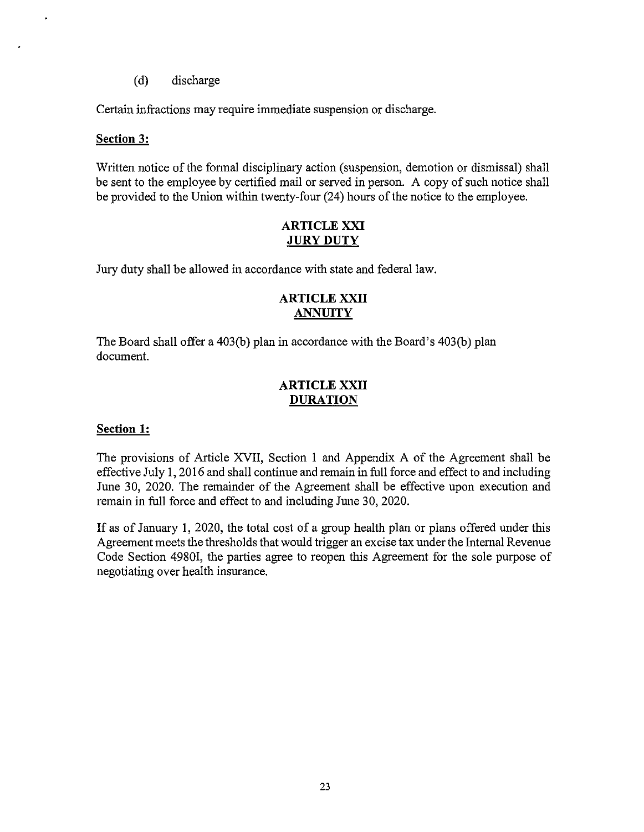(d) discharge

Certain infractions may require immediate suspension or discharge.

#### **Section 3:**

l,

Written notice of the formal disciplinary action (suspension, demotion or dismissal) shall be sent to the employee by certified mail or served in person. A copy of such notice shall be provided to the Union within twenty-four (24) hours of the notice to the employee.

#### ARTICLE XXI JURY DUTY

Jury duty shall be allowed in accordance with state and federal law.

### **ARTICLE XXII ANNUITY**

The Board shall offer a 403(b) plan in accordance with the Board's 403(b) plan document.

### **ARTICLE XXII DURATION**

#### **Section 1:**

The provisions of Article XVII, Section 1 and Appendix A of the Agreement shall be effective July 1, 2016 and shall continue and remain in full force and effect to and including June 30, 2020. The remainder of the Agreement shall be effective upon execution and remain in full force and effect to and including June 30, 2020.

If as of January 1, 2020, the total cost of a group health plan or plans offered under this Agreement meets the thresholds that would trigger an excise tax under the Internal Revenue Code Section 49801, the parties agree to reopen this Agreement for the sole purpose of negotiating over health insurance.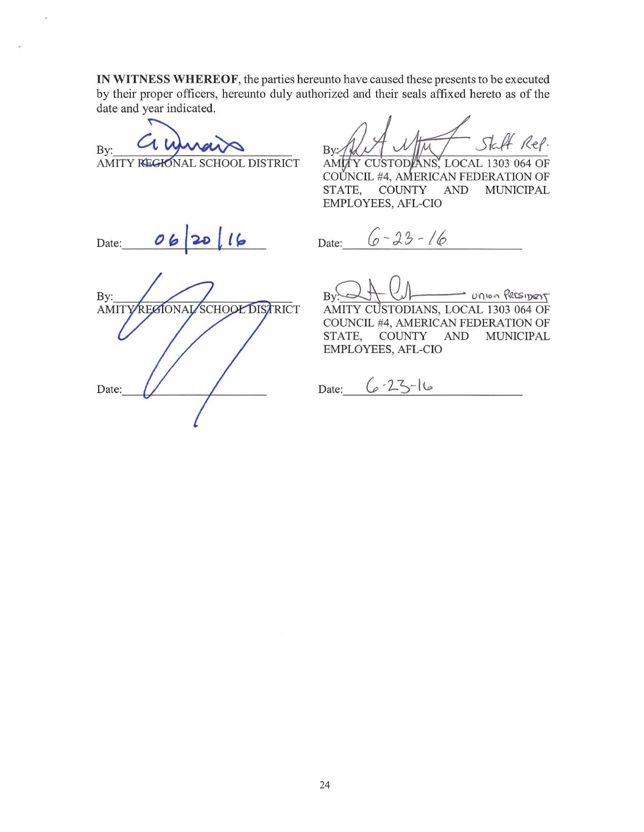**IN WITNESS WHEREOF,** the parties hereunto have caused these presents to be executed by their proper officers, hereunto duly authorized and their seals affixed hereto as of the date and year indicated, IN WITNESS WHEREOF, the parties hereunto h<br>by their proper officers, hereunto duly authorized<br>date and year indicated.<br>By: COWWOW BY: AMITY REGRONAL SCHOOL DISTRICT AMM

AMITY REGIONAL SCHOOL DISTRICT

Rep. B<sub>v</sub>

AMITY CUSTODIANS, LOCAL 1303 064 OF COŬNCIL #4, AMERICAN FEDERATION OF<br>STATE, COUNTY AND MUNICIPAL **MUNICIPAL** EMPLOYEES, AFL-CIO

Date:  $062016$ 

Date:  $6 - 23 - 16$ 

 $\noindent \text{By:} \quad \text{In} \quad \text{In} \quad \text{Ritsipers}$ 

AMITY CUSTODIANS, LOCAL 1303 064 OF COUNCIL #4, AMERICAN FEDERATION OF<br>STATE, COUNTY AND MUNICIPAL **MUNICIPAL** EMPLOYEES, AFL·CIO

 $Date:$   $6 - 23 - 16$ 

By: **AMIT** RECIONAL **SCHOOL DISTRICT** Date:  $\bigvee$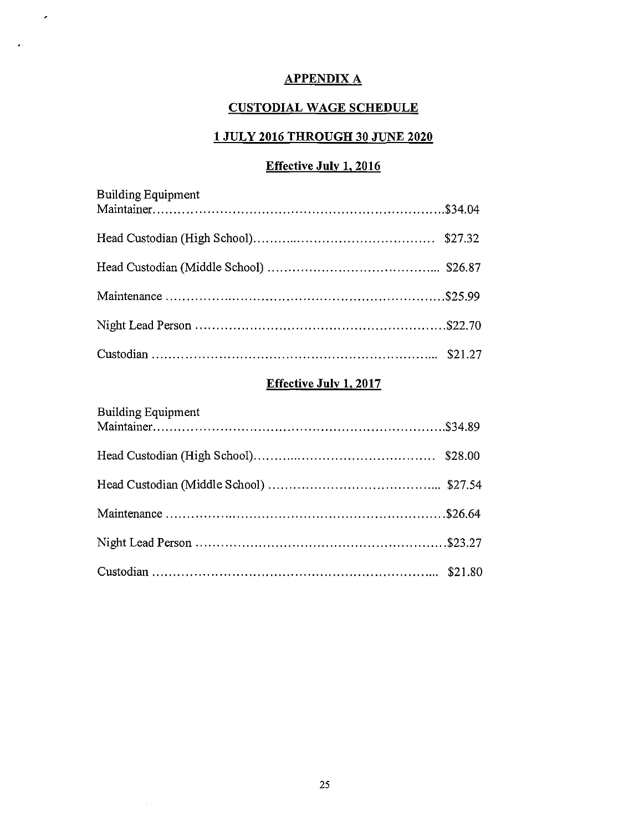# APPENDIX A

 $\mathcal{L}$ 

 $\mathcal{A}$ 

# **CUSTODIAL WAGE SCHEDULE**

# **1 JULY 2016 THROUGH 30 JUNE 2020**

# **Effective July 1, 2016**

| <b>Building Equipment</b> |  |
|---------------------------|--|
|                           |  |
|                           |  |
|                           |  |
|                           |  |
|                           |  |

# **Effective July 1,2017**

| Building Equipment |  |
|--------------------|--|
|                    |  |
|                    |  |
|                    |  |
|                    |  |
|                    |  |

 $\sim$